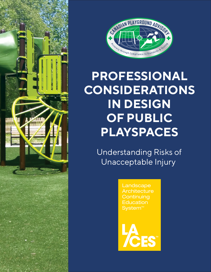



## **PROFESSIONAL CONSIDERATIONS IN DESIGN OF PUBLIC PLAYSPACES**

 Understanding Risks of Unacceptable Injury

> Landscape **Architecture Continuing Education** System<sup>™</sup>

**CES**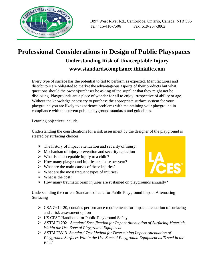

## **Professional Considerations in Design of Public Playspaces Understanding Risk of Unacceptable Injury www.standardscompliance.thinkific.com**

Every type of surface has the potential to fail to perform as expected. Manufacturers and distributors are obligated to market the advantageous aspects of their products but what questions should the owner/purchaser be asking of the supplier that they might not be disclosing. Playgrounds are a place of wonder for all to enjoy irrespective of ability or age. Without the knowledge necessary to purchase the appropriate surface system for your playground you are likely to experience problems with maintaining your playground in compliance with the current public playground standards and guidelines.

Learning objectives include.

Understanding the considerations for a risk assessment by the designer of the playground is steered by surfacing choices.

- $\triangleright$  The history of impact attenuation and severity of injury.
- $\triangleright$  Mechanism of injury prevention and severity reduction
- $\triangleright$  What is an acceptable injury to a child?
- $\triangleright$  How many playground injuries are there per year?
- $\triangleright$  What are the main causes of these injuries?
- $\triangleright$  What are the most frequent types of injuries?
- $\triangleright$  What is the cost?
- ➢ How many traumatic brain injuries are sustained on playgrounds annually?

Understanding the current Standards of care for Public Playground Impact Attenuating Surfacing

- $\triangleright$  CSA Z614-20, contains performance requirements for impact attenuation of surfacing and a risk assessment option
- ➢ US CPSC Handbook for Public Playground Safety
- ➢ ASTM F1292 *Standard Specification for Impact Attenuation of Surfacing Materials Within the Use Zone of Playground Equipment*
- ➢ ASTM F3313- *Standard Test Method for Determining Impact Attenuation of Playground Surfaces Within the Use Zone of Playground Equipment as Tested in the Field*